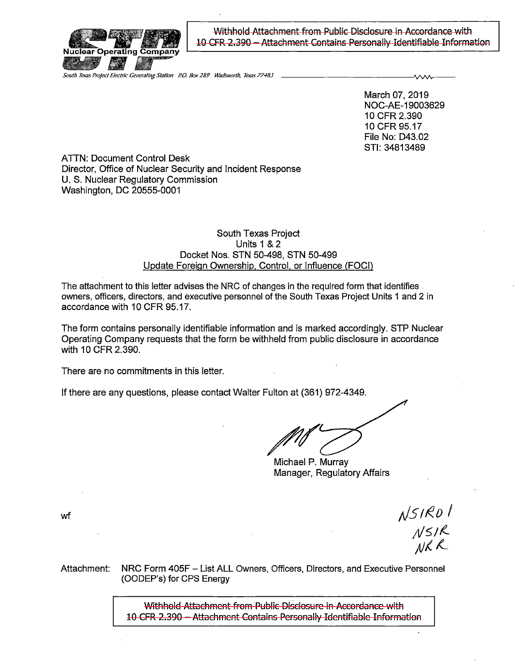

Withhold Attachment from Public Disclosure in Accordance with 10 CFR 2.390 - Attachment Contains Personally Identifiable Information

**South Texas Project Electric Generating Station P.O. Box 289** Wadsworth, Texas 77483

March 07, 2019 NOC-AE-19003629 10 CFR 2.390 10 CFR 95.17 File No: 043.02 STI: 34813489

ATTN: Document Control Desk Director, Office of Nuclear Security and Incident Response U. S. Nuclear Regulatory Commission Washington, DC 20555-0001

## South Texas Project Units 1 & 2 Docket Nos. STN 50-498, STN 50-499 Update Foreign Ownership, Control, or Influence (FOCI)

The attachment to this letter advises the NRC of changes in the required form that identifies. owners, officers, directors, and executive personnel of the South Texas Project Units 1 and 2 in accordance with 10 CFR 95.17.

The form contains personally identifiable information and is marked accordingly. STP Nuclear Operating Company requests that the form be withheld from public disclosure in accordance with 10 CFR 2.390.

There are no commitments in this letter.

If there are any questions, please contact Walter Fulton at (361) 972-4349.

Michael P. Murray Manager, Regulatory Affairs

wf

 $N$ SIRD $1$ <br> $N$ SIR<br> $N$ KR

Attachment: NRC Form 405F - List ALL Owners, Officers, Directors, and Executive Personnel (OODEP's) for CPS Energy

> Withhold Attachment from Public Disclosure in Accordance with 10 CFR 2.390 - Attachment Contains Personally Identifiable Information